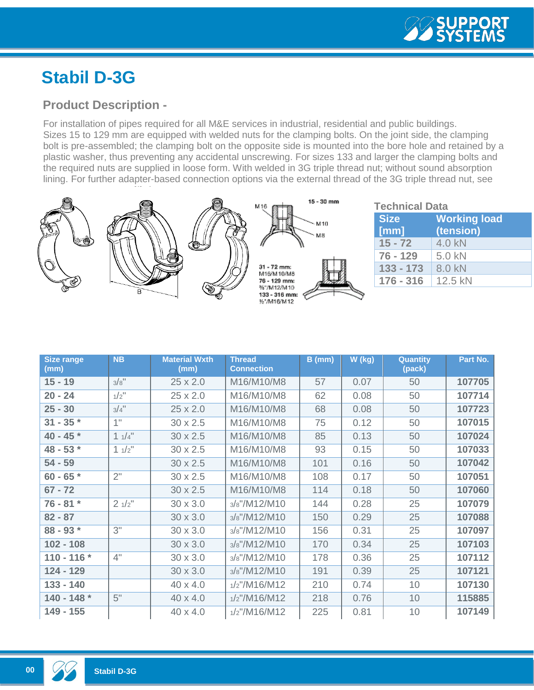## **Stabil D-3G**

## **Product Description -**

For installation of pipes required for all M&E services in industrial, residential and public buildings. Sizes 15 to 129 mm are equipped with welded nuts for the clamping bolts. On the joint side, the clamping bolt is pre-assembled; the clamping bolt on the opposite side is mounted into the bore hole and retained by a plastic washer, thus preventing any accidental unscrewing. For sizes 133 and larger the clamping bolts and the required nuts are supplied in loose form. With welded in 3G triple thread nut; without sound absorption lining. For further adapter-based connection options via the external thread of the 3G triple thread nut, see



| <b>Size range</b><br>(mm) | <b>NB</b>          | <b>Material Wxth</b><br>(mm) | <b>Thread</b><br><b>Connection</b> | B(mm) | W (kg) | Quantity<br>(pack) | Part No. |
|---------------------------|--------------------|------------------------------|------------------------------------|-------|--------|--------------------|----------|
| $15 - 19$                 | $3/8$ "            | $25 \times 2.0$              | M16/M10/M8                         | 57    | 0.07   | 50                 | 107705   |
| $20 - 24$                 | $1/2$ <sup>"</sup> | 25 x 2.0                     | M16/M10/M8                         | 62    | 0.08   | 50                 | 107714   |
| $25 - 30$                 | $3/4$ "            | $25 \times 2.0$              | M16/M10/M8                         | 68    | 0.08   | 50                 | 107723   |
| $31 - 35$ *               | 1"                 | $30 \times 2.5$              | M16/M10/M8                         | 75    | 0.12   | 50                 | 107015   |
| $40 - 45$ *               | $1 \frac{1}{4}$    | $30 \times 2.5$              | M16/M10/M8                         | 85    | 0.13   | 50                 | 107024   |
| 48 - 53 $*$               | $1 \frac{1}{2}$    | $30 \times 2.5$              | M16/M10/M8                         | 93    | 0.15   | 50                 | 107033   |
| $54 - 59$                 |                    | $30 \times 2.5$              | M16/M10/M8                         | 101   | 0.16   | 50                 | 107042   |
| $60 - 65$ *               | 2"                 | $30 \times 2.5$              | M16/M10/M8                         | 108   | 0.17   | 50                 | 107051   |
| $67 - 72$                 |                    | $30 \times 2.5$              | M16/M10/M8                         | 114   | 0.18   | 50                 | 107060   |
| $76 - 81$ *               | 21/2"              | $30 \times 3.0$              | 3/8"/M12/M10                       | 144   | 0.28   | 25                 | 107079   |
| $82 - 87$                 |                    | $30 \times 3.0$              | 3/8"/M12/M10                       | 150   | 0.29   | 25                 | 107088   |
| $88 - 93$ *               | 3"                 | $30 \times 3.0$              | 3/8"/M12/M10                       | 156   | 0.31   | 25                 | 107097   |
| $102 - 108$               |                    | $30 \times 3.0$              | 3/8"/M12/M10                       | 170   | 0.34   | 25                 | 107103   |
| $110 - 116$ *             | 4"                 | $30 \times 3.0$              | 3/8"/M12/M10                       | 178   | 0.36   | 25                 | 107112   |
| 124 - 129                 |                    | $30 \times 3.0$              | 3/8"/M12/M10                       | 191   | 0.39   | 25                 | 107121   |
| $133 - 140$               |                    | 40 x 4.0                     | $1/2$ "/M16/M12                    | 210   | 0.74   | 10                 | 107130   |
| $140 - 148$ *             | 5"                 | 40 x 4.0                     | $1/2$ "/M16/M12                    | 218   | 0.76   | 10                 | 115885   |
| 149 - 155                 |                    | 40 x 4.0                     | $1/2$ "/M16/M12                    | 225   | 0.81   | 10                 | 107149   |

**00**